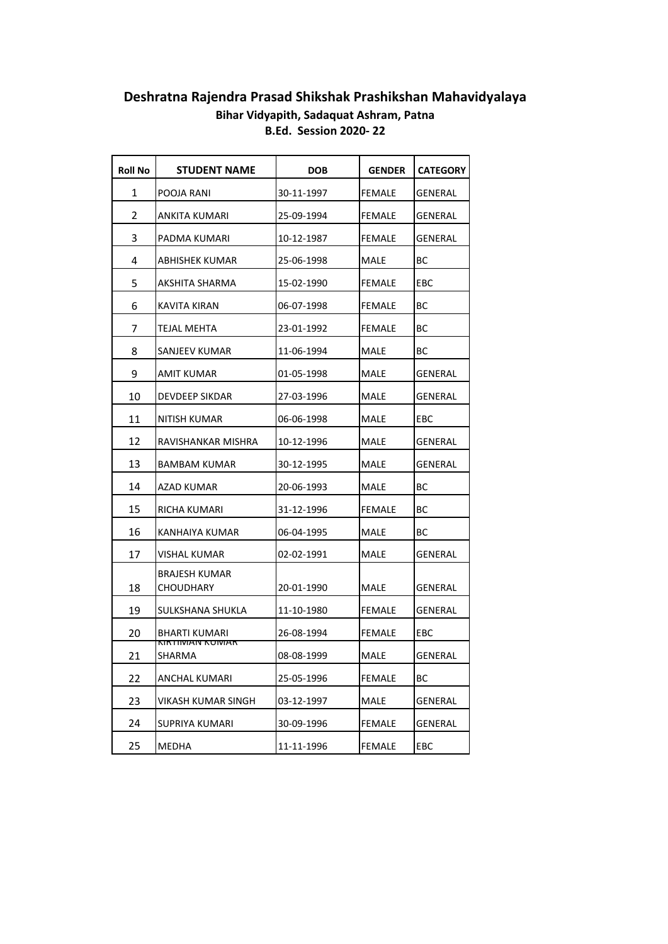## **Deshratna Rajendra Prasad Shikshak Prashikshan Mahavidyalaya Bihar Vidyapith, Sadaquat Ashram, Patna B.Ed. Session 2020- 22**

| Roll No | <b>STUDENT NAME</b>                  | <b>DOB</b> | <b>GENDER</b> | <b>CATEGORY</b> |
|---------|--------------------------------------|------------|---------------|-----------------|
| 1       | POOJA RANI                           | 30-11-1997 | FEMALE        | GENERAL         |
| 2       | ANKITA KUMARI                        | 25-09-1994 | FEMALE        | GENERAL         |
| 3       | PADMA KUMARI                         | 10-12-1987 | <b>FEMALE</b> | GENERAL         |
| 4       | ABHISHEK KUMAR                       | 25-06-1998 | MALE          | BС              |
| 5       | AKSHITA SHARMA                       | 15-02-1990 | FEMALE        | EBC             |
| 6       | KAVITA KIRAN                         | 06-07-1998 | FEMALE        | <b>BC</b>       |
| 7       | TEJAL MEHTA                          | 23-01-1992 | FEMALE        | ВC              |
| 8       | SANJEEV KUMAR                        | 11-06-1994 | MALE          | BС              |
| 9       | AMIT KUMAR                           | 01-05-1998 | MALE          | GENERAL         |
| 10      | DEVDEEP SIKDAR                       | 27-03-1996 | MALE          | GENERAL         |
| 11      | NITISH KUMAR                         | 06-06-1998 | MALE          | EBC             |
| 12      | RAVISHANKAR MISHRA                   | 10-12-1996 | MALE          | GENERAL         |
| 13      | <b>BAMBAM KUMAR</b>                  | 30-12-1995 | MALE          | GENERAL         |
| 14      | AZAD KUMAR                           | 20-06-1993 | <b>MALE</b>   | BС              |
| 15      | RICHA KUMARI                         | 31-12-1996 | FEMALE        | BС              |
| 16      | KANHAIYA KUMAR                       | 06-04-1995 | MALE          | BС              |
| 17      | VISHAL KUMAR                         | 02-02-1991 | MALE          | GENERAL         |
| 18      | <b>BRAJESH KUMAR</b><br>CHOUDHARY    | 20-01-1990 | MALE          | GENERAL         |
| 19      | SULKSHANA SHUKLA                     | 11-10-1980 | FEMALE        | GENERAL         |
| 20      | BHARTI KUMARI                        | 26-08-1994 | FEMALE        | EBC             |
| 21      | <b>NINTIIVIAIV NUIVIAN</b><br>SHARMA | 08-08-1999 | MALE          | IGENERAL        |
| 22      | ANCHAL KUMARI                        | 25-05-1996 | <b>FEMALE</b> | BC              |
| 23      | VIKASH KUMAR SINGH                   | 03-12-1997 | MALE          | GENERAL         |
| 24      | SUPRIYA KUMARI                       | 30-09-1996 | FEMALE        | GENERAL         |
| 25      | MEDHA                                | 11-11-1996 | <b>FEMALE</b> | EBC             |